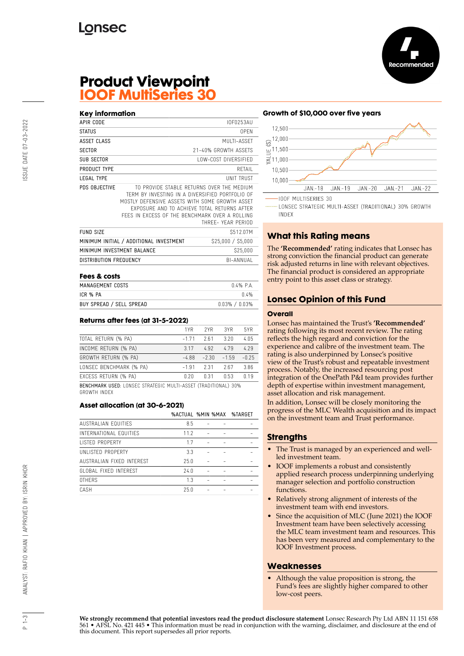

## **Product Viewpoint IOOF MultiSeries 30**

#### **Key information**

| APIR CODE                  |                                                                                                                                                                                                                                                                       | I0F0253AU            |  |
|----------------------------|-----------------------------------------------------------------------------------------------------------------------------------------------------------------------------------------------------------------------------------------------------------------------|----------------------|--|
| <b>STATUS</b>              |                                                                                                                                                                                                                                                                       | 0PFN                 |  |
| ASSET CLASS                |                                                                                                                                                                                                                                                                       | MUITI-ASSFT          |  |
| <b>SECTOR</b>              |                                                                                                                                                                                                                                                                       | 21-40% GROWTH ASSFTS |  |
| SUB SECTOR                 |                                                                                                                                                                                                                                                                       | LOW-COST DIVERSIFIED |  |
| PRODUCT TYPE               |                                                                                                                                                                                                                                                                       | RFTAIL               |  |
| IFGAI TYPF                 |                                                                                                                                                                                                                                                                       | UNIT TRUST           |  |
| PDS OBJECTIVE              | TO PROVIDE STABLE RETURNS OVER THE MEDIUM<br>TERM BY INVESTING IN A DIVERSIFIED PORTFOLIO OF<br>MOSTLY DEFENSIVE ASSETS WITH SOME GROWTH ASSET<br>EXPOSURE AND TO ACHIEVE TOTAL RETURNS AFTER<br>FFFS IN EXCESS OF THE BENCHMARK OVER A ROLLING<br>THRFF- YFAR PFRIOD |                      |  |
| <b>FUND SIZE</b>           |                                                                                                                                                                                                                                                                       | S512.07M             |  |
|                            | MINIMUM INITIAL / ADDITIONAL INVESTMENT                                                                                                                                                                                                                               | \$25,000 / \$5,000   |  |
| MINIMUM INVESTMENT BALANCE |                                                                                                                                                                                                                                                                       | \$25,000             |  |
| DISTRIBUTION FREQUENCY     |                                                                                                                                                                                                                                                                       | BI-ANNUAL            |  |

#### **Fees & costs**

| MANAGEMENT COSTS         | $0.4%$ PA           |
|--------------------------|---------------------|
| ICR % PA                 | በ 4%                |
| BUY SPREAD / SELL SPREAD | $0.03\%$ / $0.03\%$ |

#### **Returns after fees (at 31-5-2022)**

|                                                                       | 1YR     | 2YR     | 3YR     | 5YR     |
|-----------------------------------------------------------------------|---------|---------|---------|---------|
| TOTAL RETURN (% PA)                                                   | $-171$  | 261     | 3 2 D   | 4.05    |
| INCOME RETURN (% PA)                                                  | 317     | 492     | 479     | 4.29    |
| GROWTH RETURN (% PA)                                                  | $-4.88$ | $-2.30$ | $-1.59$ | $-0.25$ |
| LONSEC BENCHMARK (% PA)                                               | $-1.91$ | 231     | 267     | 3.86    |
| EXCESS RETURN (% PA)                                                  | በ 2በ    | n 31    | 0.53    | 0.19    |
| <b>BENCHMARK USED: LONSEC STRATEGIC MULTI-ASSET (TRADITIONAL) 30%</b> |         |         |         |         |

GROWTH INDEX

#### **Asset allocation (at 30-6-2021)**

|                           | %ACTUAL %MIN %MAX |  | %TARGET |
|---------------------------|-------------------|--|---------|
| AUSTRALIAN FOUITIES       | 8.5               |  |         |
| INTERNATIONAL FOUITIES    | 11.2              |  |         |
| LISTED PROPERTY           | 17                |  |         |
| UNLISTED PROPERTY         | 3.3               |  |         |
| AUSTRALIAN FIXED INTEREST | 25.0              |  |         |
| GLOBAL FIXED INTEREST     | 24.0              |  |         |
| <b>OTHERS</b>             | 1.3               |  |         |
| CASH                      | 25.0              |  |         |

#### **Growth of \$10,000 over five years**



LONSEC STRATEGIC MULTI-ASSET (TRADITIONAL) 30% GROWTH **INDEX** 

## **What this Rating means**

The **'Recommended'** rating indicates that Lonsec has strong conviction the financial product can generate risk adjusted returns in line with relevant objectives. The financial product is considered an appropriate entry point to this asset class or strategy.

## **Lonsec Opinion of this Fund**

#### **Overall**

Lonsec has maintained the Trust's **'Recommended'** rating following its most recent review. The rating reflects the high regard and conviction for the experience and calibre of the investment team. The rating is also underpinned by Lonsec's positive view of the Trust's robust and repeatable investment process. Notably, the increased resourcing post integration of the OnePath P&I team provides further depth of expertise within investment management, asset allocation and risk management.

In addition, Lonsec will be closely monitoring the progress of the MLC Wealth acquisition and its impact on the investment team and Trust performance.

## **Strengths**

- The Trust is managed by an experienced and wellled investment team.
- IOOF implements a robust and consistently applied research process underpinning underlying manager selection and portfolio construction functions.
- Relatively strong alignment of interests of the investment team with end investors.
- Since the acquisition of MLC (June 2021) the IOOF Investment team have been selectively accessing the MLC team investment team and resources. This has been very measured and complementary to the IOOF Investment process.

## **Weaknesses**

• Although the value proposition is strong, the Fund's fees are slightly higher compared to other low-cost peers.

**We strongly recommend that potential investors read the product disclosure statement** Lonsec Research Pty Ltd ABN 11 151 658 561 • AFSL No. 421 445 • This information must be read in conjunction with the warning, disclaimer, and disclosure at the end of this document. This report supersedes all prior reports.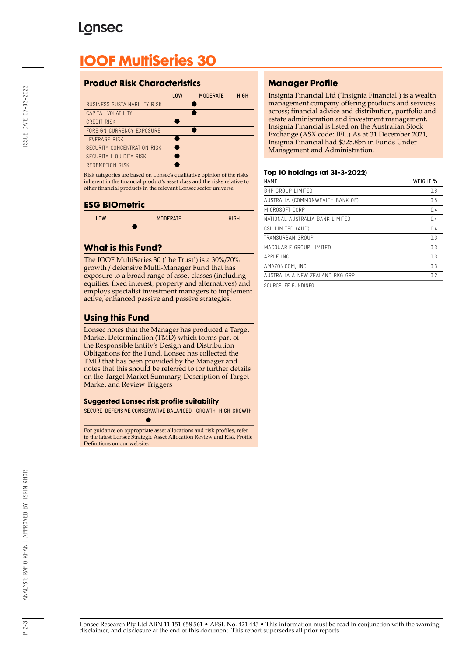# **Lonsec**

# **IOOF MultiSeries 30**

## **Product Risk Characteristics**

|                                     | <b>LOW</b> | <b>MODERATE</b> | <b>HIGH</b> |
|-------------------------------------|------------|-----------------|-------------|
| <b>BUSINESS SUSTAINABILITY RISK</b> |            |                 |             |
| CAPITAL VOLATILITY                  |            |                 |             |
| <b>CREDIT RISK</b>                  |            |                 |             |
| FORFIGN CURRENCY EXPOSURE           |            |                 |             |
| <b>I FVFRAGF RISK</b>               |            |                 |             |
| SECURITY CONCENTRATION RISK         |            |                 |             |
| SECURITY LIQUIDITY RISK             |            |                 |             |
| REDEMPTION RISK                     |            |                 |             |

Risk categories are based on Lonsec's qualitative opinion of the risks inherent in the financial product's asset class and the risks relative to other financial products in the relevant Lonsec sector universe.

## **ESG BIOmetric**

| L <sub>0</sub> W | <b>MODERATE</b> | <b>HIGH</b> |
|------------------|-----------------|-------------|
|                  |                 |             |

## **What is this Fund?**

The IOOF MultiSeries 30 ('the Trust') is a 30%/70% growth / defensive Multi-Manager Fund that has exposure to a broad range of asset classes (including equities, fixed interest, property and alternatives) and employs specialist investment managers to implement active, enhanced passive and passive strategies.

## **Using this Fund**

Lonsec notes that the Manager has produced a Target Market Determination (TMD) which forms part of the Responsible Entity's Design and Distribution Obligations for the Fund. Lonsec has collected the TMD that has been provided by the Manager and notes that this should be referred to for further details on the Target Market Summary, Description of Target Market and Review Triggers

## **Suggested Lonsec risk profile suitability**

SECURE DEFENSIVE CONSERVATIVE BALANCED GROWTH HIGH GROWTH

For guidance on appropriate asset allocations and risk profiles, refer to the latest Lonsec Strategic Asset Allocation Review and Risk Profile Definitions on our website.

## **Manager Profile**

Insignia Financial Ltd ('Insignia Financial') is a wealth management company offering products and services across; financial advice and distribution, portfolio and estate administration and investment management. Insignia Financial is listed on the Australian Stock Exchange (ASX code: IFL.) As at 31 December 2021, Insignia Financial had \$325.8bn in Funds Under Management and Administration.

## **Top 10 holdings (at 31-3-2022)**

| <b>NAME</b>                      | WEIGHT % |
|----------------------------------|----------|
| <b>BHP GROUP LIMITED</b>         | 0.8      |
| AUSTRALIA (COMMONWEALTH BANK OF) | 0.5      |
| MICROSOFT CORP                   | 0.4      |
| NATIONAL AUSTRALIA BANK LIMITED  | 0.4      |
| CSL LIMITED (AUD)                | 0.4      |
| TRANSURBAN GROUP                 | 0.3      |
| MACQUARIF GROUP LIMITED          | 0.3      |
| APPI F INC                       | 0.3      |
| AMAZON.COM. INC.                 | 0.3      |
| AUSTRALIA & NEW ZEALAND BKG GRP  | 0.2      |
|                                  |          |

SOURCE: FE FUNDINFO